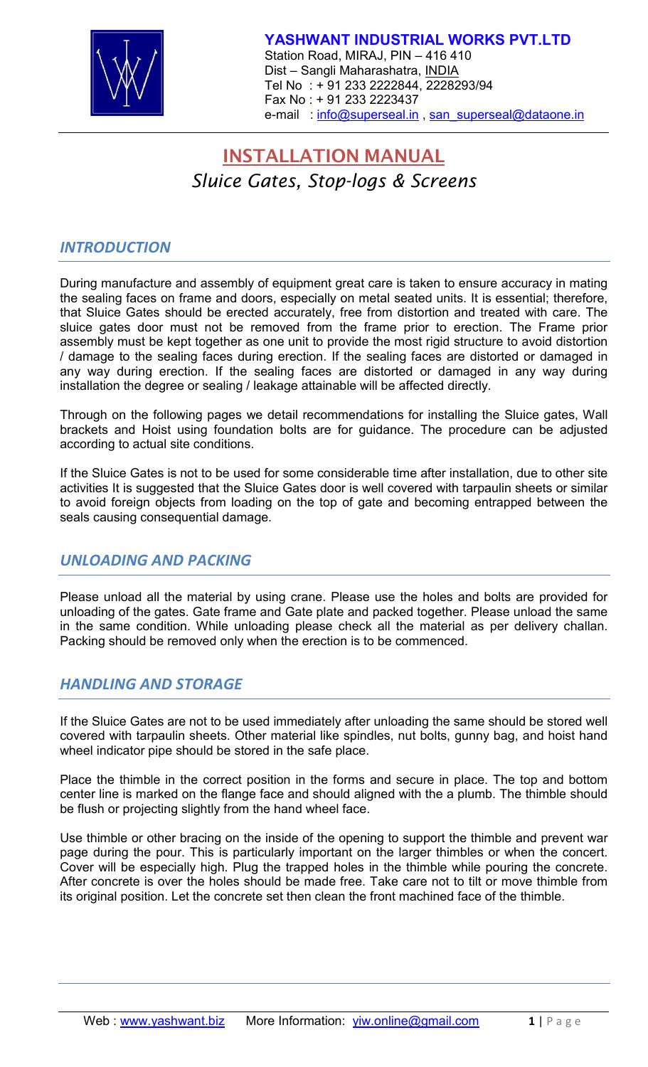

# **INSTALLATION MANUAL** *Sluice Gates, Stop-logs & Screens*

## *INTRODUCTION*

During manufacture and assembly of equipment great care is taken to ensure accuracy in mating the sealing faces on frame and doors, especially on metal seated units. It is essential; therefore, that Sluice Gates should be erected accurately, free from distortion and treated with care. The sluice gates door must not be removed from the frame prior to erection. The Frame prior assembly must be kept together as one unit to provide the most rigid structure to avoid distortion / damage to the sealing faces during erection. If the sealing faces are distorted or damaged in any way during erection. If the sealing faces are distorted or damaged in any way during installation the degree or sealing / leakage attainable will be affected directly.

Through on the following pages we detail recommendations for installing the Sluice gates, Wall brackets and Hoist using foundation bolts are for guidance. The procedure can be adjusted according to actual site conditions.

If the Sluice Gates is not to be used for some considerable time after installation, due to other site activities It is suggested that the Sluice Gates door is well covered with tarpaulin sheets or similar to avoid foreign objects from loading on the top of gate and becoming entrapped between the seals causing consequential damage.

## *UNLOADING AND PACKING*

Please unload all the material by using crane. Please use the holes and bolts are provided for unloading of the gates. Gate frame and Gate plate and packed together. Please unload the same in the same condition. While unloading please check all the material as per delivery challan. Packing should be removed only when the erection is to be commenced.

# *HANDLING AND STORAGE*

If the Sluice Gates are not to be used immediately after unloading the same should be stored well covered with tarpaulin sheets. Other material like spindles, nut bolts, gunny bag, and hoist hand wheel indicator pipe should be stored in the safe place.

Place the thimble in the correct position in the forms and secure in place. The top and bottom center line is marked on the flange face and should aligned with the a plumb. The thimble should be flush or projecting slightly from the hand wheel face.

Use thimble or other bracing on the inside of the opening to support the thimble and prevent war page during the pour. This is particularly important on the larger thimbles or when the concert. Cover will be especially high. Plug the trapped holes in the thimble while pouring the concrete. After concrete is over the holes should be made free. Take care not to tilt or move thimble from its original position. Let the concrete set then clean the front machined face of the thimble.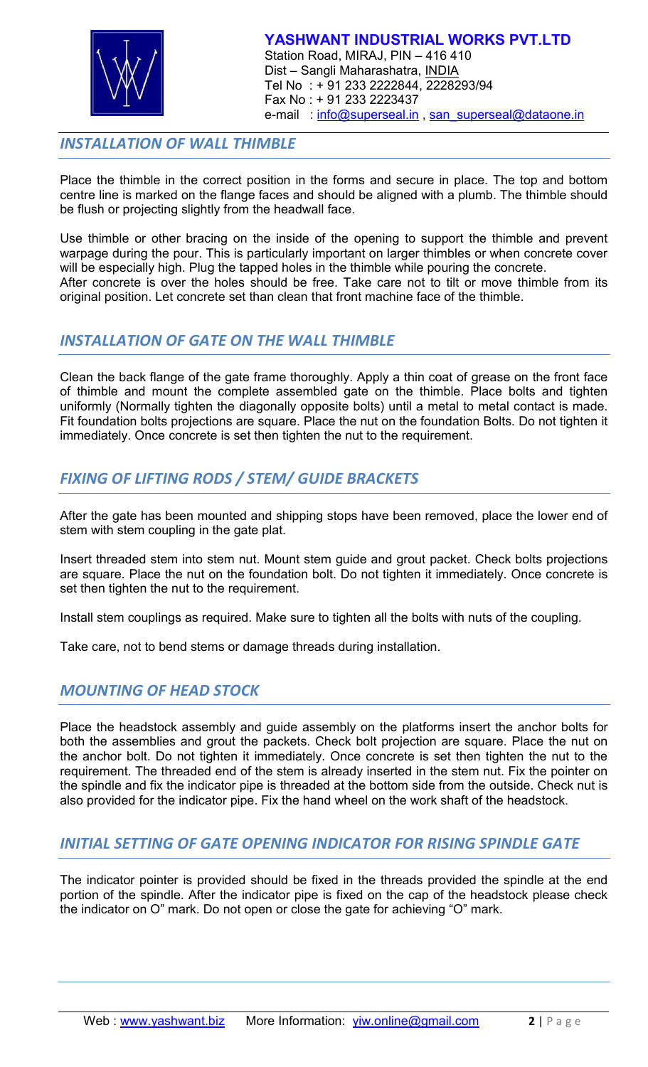

## *INSTALLATION OF WALL THIMBLE*

Place the thimble in the correct position in the forms and secure in place. The top and bottom centre line is marked on the flange faces and should be aligned with a plumb. The thimble should be flush or projecting slightly from the headwall face.

Use thimble or other bracing on the inside of the opening to support the thimble and prevent warpage during the pour. This is particularly important on larger thimbles or when concrete cover will be especially high. Plug the tapped holes in the thimble while pouring the concrete. After concrete is over the holes should be free. Take care not to tilt or move thimble from its original position. Let concrete set than clean that front machine face of the thimble.

## *INSTALLATION OF GATE ON THE WALL THIMBLE*

Clean the back flange of the gate frame thoroughly. Apply a thin coat of grease on the front face of thimble and mount the complete assembled gate on the thimble. Place bolts and tighten uniformly (Normally tighten the diagonally opposite bolts) until a metal to metal contact is made. Fit foundation bolts projections are square. Place the nut on the foundation Bolts. Do not tighten it immediately. Once concrete is set then tighten the nut to the requirement.

# *FIXING OF LIFTING RODS / STEM/ GUIDE BRACKETS*

After the gate has been mounted and shipping stops have been removed, place the lower end of stem with stem coupling in the gate plat.

Insert threaded stem into stem nut. Mount stem guide and grout packet. Check bolts projections are square. Place the nut on the foundation bolt. Do not tighten it immediately. Once concrete is set then tighten the nut to the requirement.

Install stem couplings as required. Make sure to tighten all the bolts with nuts of the coupling.

Take care, not to bend stems or damage threads during installation.

# *MOUNTING OF HEAD STOCK*

Place the headstock assembly and guide assembly on the platforms insert the anchor bolts for both the assemblies and grout the packets. Check bolt projection are square. Place the nut on the anchor bolt. Do not tighten it immediately. Once concrete is set then tighten the nut to the requirement. The threaded end of the stem is already inserted in the stem nut. Fix the pointer on the spindle and fix the indicator pipe is threaded at the bottom side from the outside. Check nut is also provided for the indicator pipe. Fix the hand wheel on the work shaft of the headstock.

# *INITIAL SETTING OF GATE OPENING INDICATOR FOR RISING SPINDLE GATE*

The indicator pointer is provided should be fixed in the threads provided the spindle at the end portion of the spindle. After the indicator pipe is fixed on the cap of the headstock please check the indicator on O" mark. Do not open or close the gate for achieving "O" mark.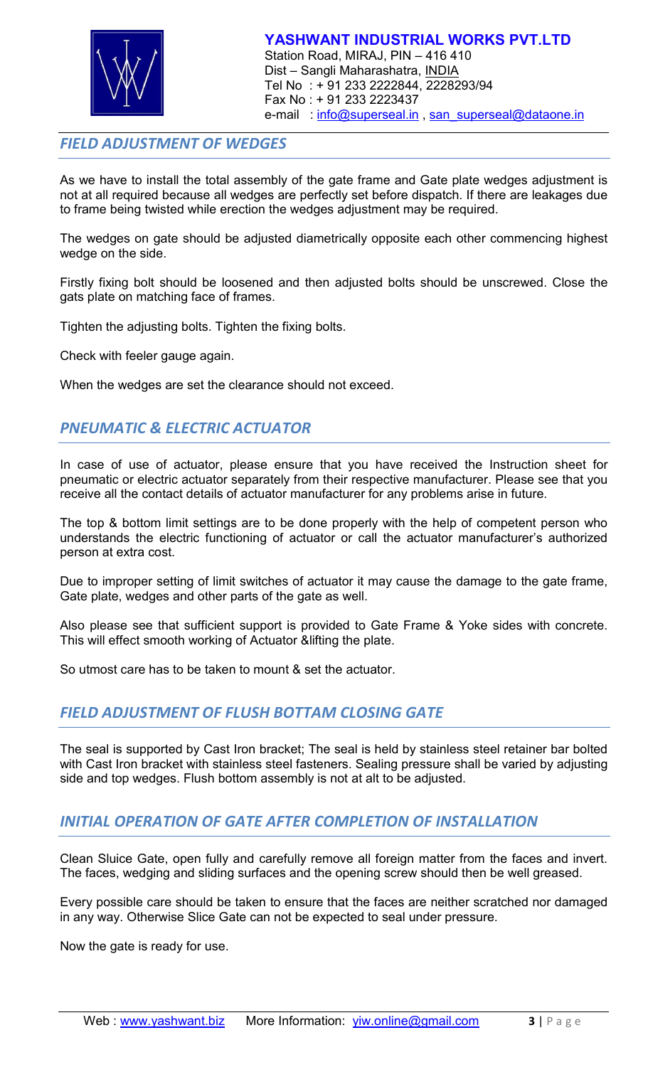

# *FIELD ADJUSTMENT OF WEDGES*

As we have to install the total assembly of the gate frame and Gate plate wedges adjustment is not at all required because all wedges are perfectly set before dispatch. If there are leakages due to frame being twisted while erection the wedges adjustment may be required.

The wedges on gate should be adjusted diametrically opposite each other commencing highest wedge on the side.

Firstly fixing bolt should be loosened and then adjusted bolts should be unscrewed. Close the gats plate on matching face of frames.

Tighten the adjusting bolts. Tighten the fixing bolts.

Check with feeler gauge again.

When the wedges are set the clearance should not exceed.

# *PNEUMATIC & ELECTRIC ACTUATOR*

In case of use of actuator, please ensure that you have received the Instruction sheet for pneumatic or electric actuator separately from their respective manufacturer. Please see that you receive all the contact details of actuator manufacturer for any problems arise in future.

The top & bottom limit settings are to be done properly with the help of competent person who understands the electric functioning of actuator or call the actuator manufacturer's authorized person at extra cost.

Due to improper setting of limit switches of actuator it may cause the damage to the gate frame, Gate plate, wedges and other parts of the gate as well.

Also please see that sufficient support is provided to Gate Frame & Yoke sides with concrete. This will effect smooth working of Actuator &lifting the plate.

So utmost care has to be taken to mount & set the actuator.

## *FIELD ADJUSTMENT OF FLUSH BOTTAM CLOSING GATE*

The seal is supported by Cast Iron bracket; The seal is held by stainless steel retainer bar bolted with Cast Iron bracket with stainless steel fasteners. Sealing pressure shall be varied by adjusting side and top wedges. Flush bottom assembly is not at alt to be adjusted.

## *INITIAL OPERATION OF GATE AFTER COMPLETION OF INSTALLATION*

Clean Sluice Gate, open fully and carefully remove all foreign matter from the faces and invert. The faces, wedging and sliding surfaces and the opening screw should then be well greased.

Every possible care should be taken to ensure that the faces are neither scratched nor damaged in any way. Otherwise Slice Gate can not be expected to seal under pressure.

Now the gate is ready for use.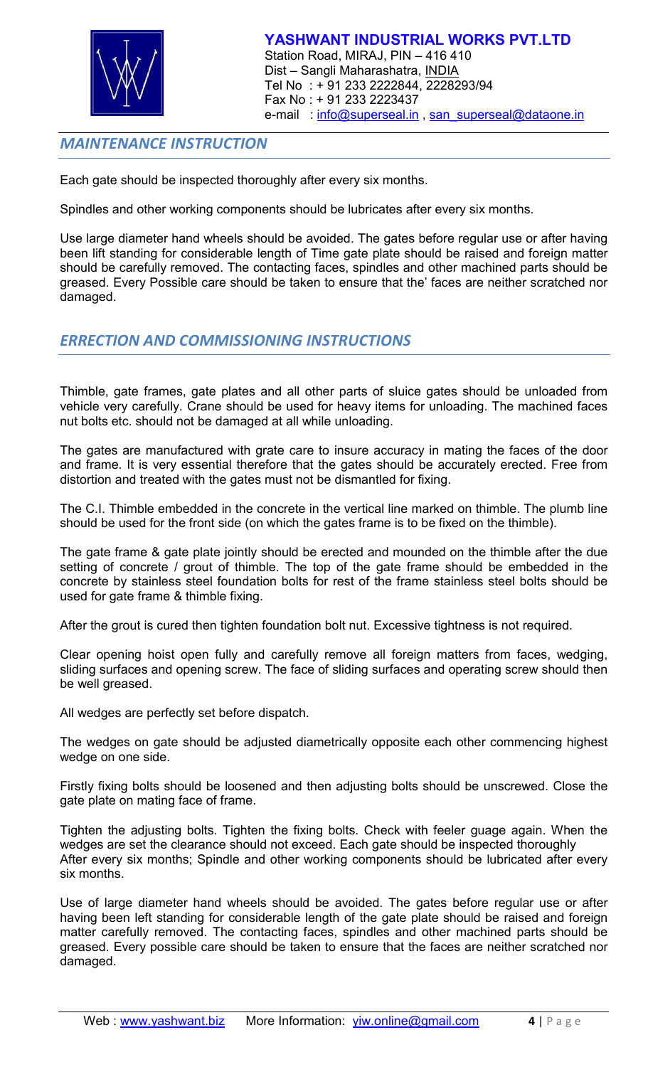

# *MAINTENANCE INSTRUCTION*

Each gate should be inspected thoroughly after every six months.

Spindles and other working components should be lubricates after every six months.

Use large diameter hand wheels should be avoided. The gates before regular use or after having been lift standing for considerable length of Time gate plate should be raised and foreign matter should be carefully removed. The contacting faces, spindles and other machined parts should be greased. Every Possible care should be taken to ensure that the' faces are neither scratched nor damaged.

## *ERRECTION AND COMMISSIONING INSTRUCTIONS*

Thimble, gate frames, gate plates and all other parts of sluice gates should be unloaded from vehicle very carefully. Crane should be used for heavy items for unloading. The machined faces nut bolts etc. should not be damaged at all while unloading.

The gates are manufactured with grate care to insure accuracy in mating the faces of the door and frame. It is very essential therefore that the gates should be accurately erected. Free from distortion and treated with the gates must not be dismantled for fixing.

The C.I. Thimble embedded in the concrete in the vertical line marked on thimble. The plumb line should be used for the front side (on which the gates frame is to be fixed on the thimble).

The gate frame & gate plate jointly should be erected and mounded on the thimble after the due setting of concrete / grout of thimble. The top of the gate frame should be embedded in the concrete by stainless steel foundation bolts for rest of the frame stainless steel bolts should be used for gate frame & thimble fixing.

After the grout is cured then tighten foundation bolt nut. Excessive tightness is not required.

Clear opening hoist open fully and carefully remove all foreign matters from faces, wedging, sliding surfaces and opening screw. The face of sliding surfaces and operating screw should then be well greased.

All wedges are perfectly set before dispatch.

The wedges on gate should be adjusted diametrically opposite each other commencing highest wedge on one side.

Firstly fixing bolts should be loosened and then adjusting bolts should be unscrewed. Close the gate plate on mating face of frame.

Tighten the adjusting bolts. Tighten the fixing bolts. Check with feeler guage again. When the wedges are set the clearance should not exceed. Each gate should be inspected thoroughly After every six months; Spindle and other working components should be lubricated after every six months.

Use of large diameter hand wheels should be avoided. The gates before regular use or after having been left standing for considerable length of the gate plate should be raised and foreign matter carefully removed. The contacting faces, spindles and other machined parts should be greased. Every possible care should be taken to ensure that the faces are neither scratched nor damaged.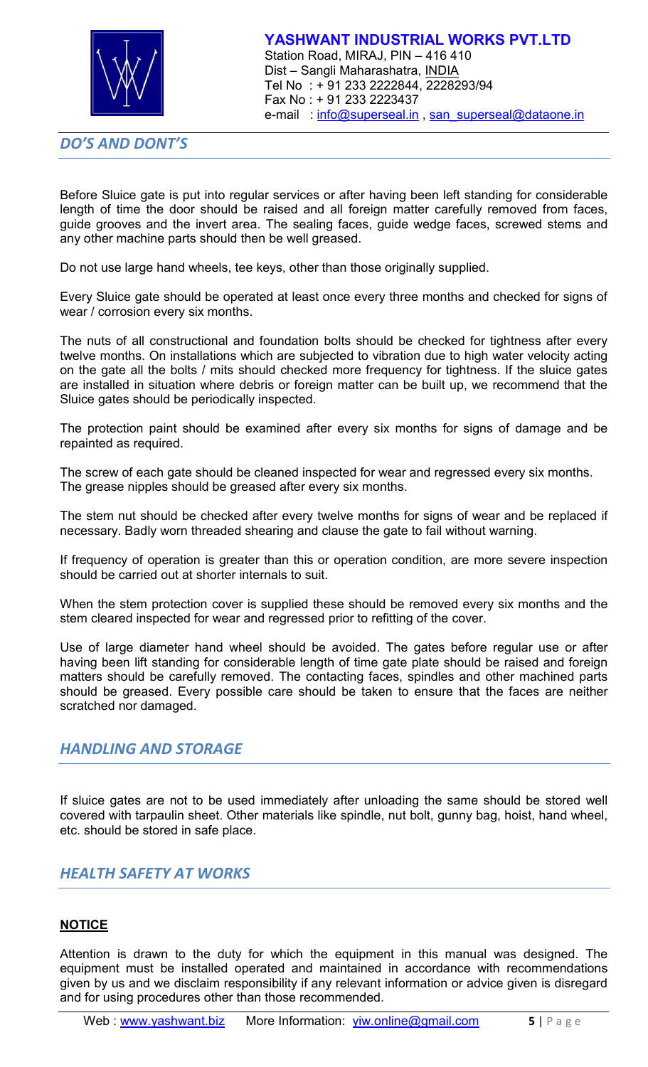

*DO'S AND DONT'S*

Before Sluice gate is put into regular services or after having been left standing for considerable length of time the door should be raised and all foreign matter carefully removed from faces, guide grooves and the invert area. The sealing faces, guide wedge faces, screwed stems and any other machine parts should then be well greased.

Do not use large hand wheels, tee keys, other than those originally supplied.

Every Sluice gate should be operated at least once every three months and checked for signs of wear / corrosion every six months.

The nuts of all constructional and foundation bolts should be checked for tightness after every twelve months. On installations which are subjected to vibration due to high water velocity acting on the gate all the bolts / mits should checked more frequency for tightness. If the sluice gates are installed in situation where debris or foreign matter can be built up, we recommend that the Sluice gates should be periodically inspected.

The protection paint should be examined after every six months for signs of damage and be repainted as required.

The screw of each gate should be cleaned inspected for wear and regressed every six months. The grease nipples should be greased after every six months.

The stem nut should be checked after every twelve months for signs of wear and be replaced if necessary. Badly worn threaded shearing and clause the gate to fail without warning.

If frequency of operation is greater than this or operation condition, are more severe inspection should be carried out at shorter internals to suit.

When the stem protection cover is supplied these should be removed every six months and the stem cleared inspected for wear and regressed prior to refitting of the cover.

Use of large diameter hand wheel should be avoided. The gates before regular use or after having been lift standing for considerable length of time gate plate should be raised and foreign matters should be carefully removed. The contacting faces, spindles and other machined parts should be greased. Every possible care should be taken to ensure that the faces are neither scratched nor damaged.

## *HANDLING AND STORAGE*

If sluice gates are not to be used immediately after unloading the same should be stored well covered with tarpaulin sheet. Other materials like spindle, nut bolt, gunny bag, hoist, hand wheel, etc. should be stored in safe place.

# *HEALTH SAFETY AT WORKS*

#### **NOTICE**

Attention is drawn to the duty for which the equipment in this manual was designed. The equipment must be installed operated and maintained in accordance with recommendations given by us and we disclaim responsibility if any relevant information or advice given is disregard and for using procedures other than those recommended.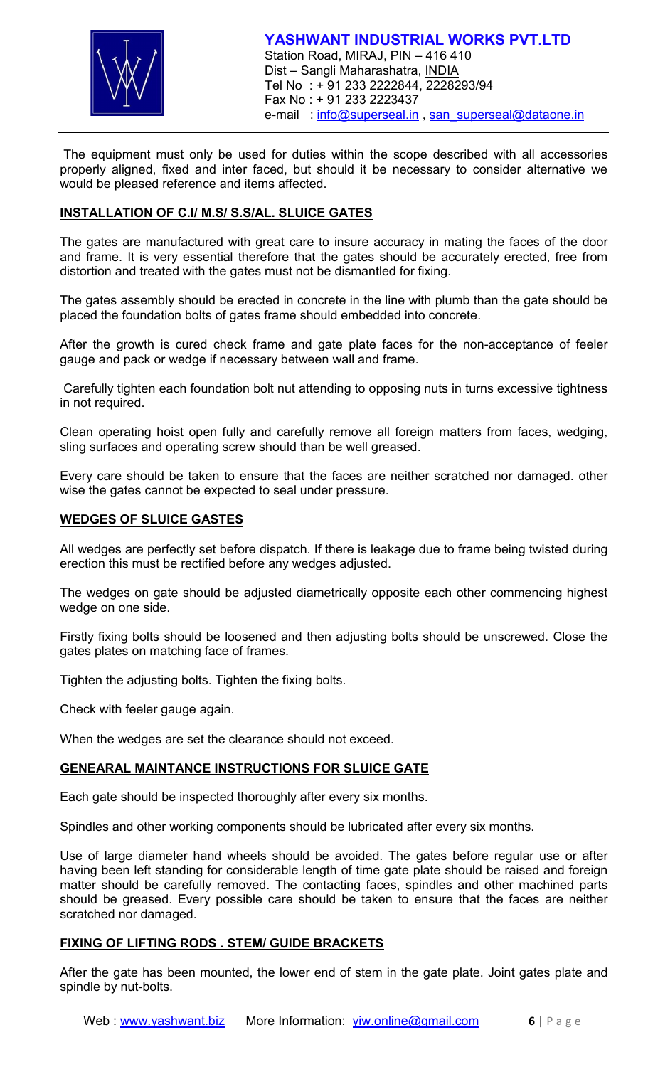

The equipment must only be used for duties within the scope described with all accessories properly aligned, fixed and inter faced, but should it be necessary to consider alternative we would be pleased reference and items affected.

#### **INSTALLATION OF C.I/ M.S/ S.S/AL. SLUICE GATES**

The gates are manufactured with great care to insure accuracy in mating the faces of the door and frame. It is very essential therefore that the gates should be accurately erected, free from distortion and treated with the gates must not be dismantled for fixing.

The gates assembly should be erected in concrete in the line with plumb than the gate should be placed the foundation bolts of gates frame should embedded into concrete.

After the growth is cured check frame and gate plate faces for the non-acceptance of feeler gauge and pack or wedge if necessary between wall and frame.

Carefully tighten each foundation bolt nut attending to opposing nuts in turns excessive tightness in not required.

Clean operating hoist open fully and carefully remove all foreign matters from faces, wedging, sling surfaces and operating screw should than be well greased.

Every care should be taken to ensure that the faces are neither scratched nor damaged. other wise the gates cannot be expected to seal under pressure.

#### **WEDGES OF SLUICE GASTES**

All wedges are perfectly set before dispatch. If there is leakage due to frame being twisted during erection this must be rectified before any wedges adjusted.

The wedges on gate should be adjusted diametrically opposite each other commencing highest wedge on one side.

Firstly fixing bolts should be loosened and then adjusting bolts should be unscrewed. Close the gates plates on matching face of frames.

Tighten the adjusting bolts. Tighten the fixing bolts.

Check with feeler gauge again.

When the wedges are set the clearance should not exceed.

#### **GENEARAL MAINTANCE INSTRUCTIONS FOR SLUICE GATE**

Each gate should be inspected thoroughly after every six months.

Spindles and other working components should be lubricated after every six months.

Use of large diameter hand wheels should be avoided. The gates before regular use or after having been left standing for considerable length of time gate plate should be raised and foreign matter should be carefully removed. The contacting faces, spindles and other machined parts should be greased. Every possible care should be taken to ensure that the faces are neither scratched nor damaged.

#### **FIXING OF LIFTING RODS . STEM/ GUIDE BRACKETS**

After the gate has been mounted, the lower end of stem in the gate plate. Joint gates plate and spindle by nut-bolts.